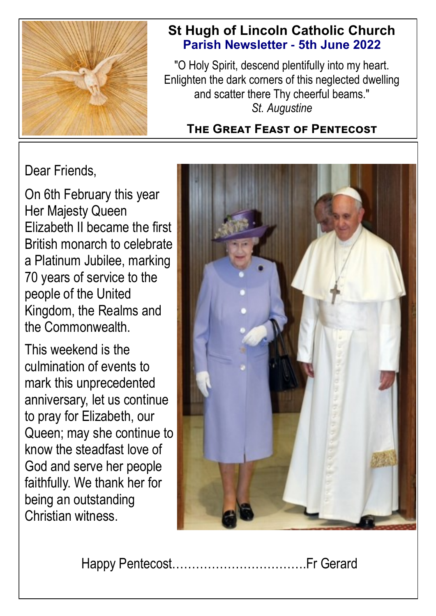

# **St Hugh of Lincoln Catholic Church Parish Newsletter - 5th June 2022**

"O Holy Spirit, descend plentifully into my heart. Enlighten the dark corners of this neglected dwelling and scatter there Thy cheerful beams." *St. Augustine*

# **The Great Feast of Pentecost**

Dear Friends,

On 6th February this year Her Majesty Queen Elizabeth II became the first British monarch to celebrate a Platinum Jubilee, marking 70 years of service to the people of the United Kingdom, the Realms and the Commonwealth.

This weekend is the culmination of events to mark this unprecedented anniversary, let us continue to pray for Elizabeth, our Queen; may she continue to know the steadfast love of God and serve her people faithfully. We thank her for being an outstanding Christian witness.



Happy Pentecost…………………………….Fr Gerard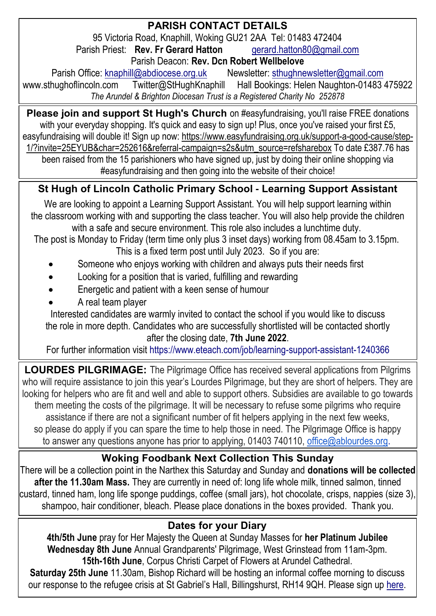## **PARISH CONTACT DETAILS**

95 Victoria Road, Knaphill, Woking GU21 2AA Tel: 01483 472404 Parish Priest: **Rev. Fr Gerard Hatton [gerard.hatton80@gmail.com](mailto:gerard.hatton80@gmail.com)** 

Parish Deacon: **Rev. Dcn Robert Wellbelove**

Parish Office: [knaphill@abdiocese.org.uk](mailto:knaphill@abdiocese.org.uk) Newsletter: [sthughnewsletter@gmail.com](mailto:sthughnewsletter@gmail.com)<br>Aww.sthughoflincoln.com Twitter@StHughKnaphill Hall Bookings: Helen Naughton-01483 Twitter@StHughKnaphill Hall Bookings: Helen Naughton-01483 475922 *The Arundel & Brighton Diocesan Trust is a Registered Charity No 252878*

**Please join and support St Hugh's Church** on #easyfundraising, you'll raise FREE donations with your everyday shopping. It's quick and easy to sign up! Plus, once you've raised your first £5. easyfundraising will double it! Sign up now: [https://www.easyfundraising.org.uk/support-a-good-cause/step-](https://www.easyfundraising.org.uk/support-a-good-cause/step-1/?invite=25EYUB&char=252616&referral-campaign=s2s&utm_source=refsharebox)[1/?invite=25EYUB&char=252616&referral-campaign=s2s&utm\\_source=refsharebox](https://www.easyfundraising.org.uk/support-a-good-cause/step-1/?invite=25EYUB&char=252616&referral-campaign=s2s&utm_source=refsharebox) To date £387.76 has

been raised from the 15 parishioners who have signed up, just by doing their online shopping via #easyfundraising and then going into the website of their choice!

# **St Hugh of Lincoln Catholic Primary School - Learning Support Assistant**

We are looking to appoint a Learning Support Assistant. You will help support learning within the classroom working with and supporting the class teacher. You will also help provide the children with a safe and secure environment. This role also includes a lunchtime duty.

The post is Monday to Friday (term time only plus 3 inset days) working from 08.45am to 3.15pm. This is a fixed term post until July 2023. So if you are:

- Someone who enjoys working with children and always puts their needs first
- Looking for a position that is varied, fulfilling and rewarding
- Energetic and patient with a keen sense of humour
- A real team player

Interested candidates are warmly invited to contact the school if you would like to discuss the role in more depth. Candidates who are successfully shortlisted will be contacted shortly after the closing date, **7th June 2022**.

For further information visit https://www.eteach.com/job/learning-support-assistant-1240366

**LOURDES PILGRIMAGE:** The Pilgrimage Office has received several applications from Pilgrims who will require assistance to join this year's Lourdes Pilgrimage, but they are short of helpers. They are looking for helpers who are fit and well and able to support others. Subsidies are available to go towards them meeting the costs of the pilgrimage. It will be necessary to refuse some pilgrims who require assistance if there are not a significant number of fit helpers applying in the next few weeks, so please do apply if you can spare the time to help those in need. The Pilgrimage Office is happy to answer any questions anyone has prior to applying, 01403 740110, [office@ablourdes.org.](mailto:office@ablourdes.org)

## **Woking Foodbank Next Collection This Sunday**

There will be a collection point in the Narthex this Saturday and Sunday and **donations will be collected after the 11.30am Mass.** They are currently in need of: long life whole milk, tinned salmon, tinned custard, tinned ham, long life sponge puddings, coffee (small jars), hot chocolate, crisps, nappies (size 3), shampoo, hair conditioner, bleach. Please place donations in the boxes provided. Thank you.

## **Dates for your Diary**

**4th/5th June** pray for Her Majesty the Queen at Sunday Masses for **her Platinum Jubilee Wednesday 8th June** Annual Grandparents' Pilgrimage, West Grinstead from 11am-3pm. **15th-16th June**, Corpus Christi Carpet of Flowers at Arundel Cathedral.

**Saturday 25th June** 11.30am, Bishop Richard will be hosting an informal coffee morning to discuss our response to the refugee crisis at St Gabriel's Hall, Billingshurst, RH14 9QH. P[lease sign up](https://abdiocese.us9.list-manage.com/track/click?u=6ad3715cf61665df736c264a6&id=a067bd4425&e=d2c363f876) here.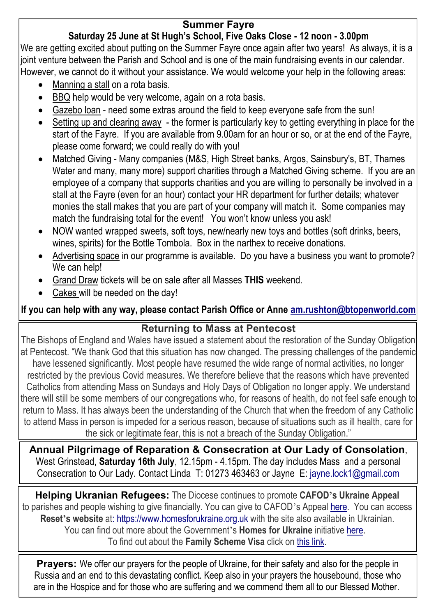#### **Summer Fayre**

## **Saturday 25 June at St Hugh's School, Five Oaks Close - 12 noon - 3.00pm**

We are getting excited about putting on the Summer Fayre once again after two years! As always, it is a joint venture between the Parish and School and is one of the main fundraising events in our calendar. However, we cannot do it without your assistance. We would welcome your help in the following areas:

- Manning a stall on a rota basis.
- BBQ help would be very welcome, again on a rota basis.
- Gazebo loan need some extras around the field to keep everyone safe from the sun!
- Setting up and clearing away the former is particularly key to getting everything in place for the start of the Fayre. If you are available from 9.00am for an hour or so, or at the end of the Fayre, please come forward; we could really do with you!
- Matched Giving Many companies (M&S, High Street banks, Argos, Sainsbury's, BT, Thames Water and many, many more) support charities through a Matched Giving scheme. If you are an employee of a company that supports charities and you are willing to personally be involved in a stall at the Fayre (even for an hour) contact your HR department for further details; whatever monies the stall makes that you are part of your company will match it. Some companies may match the fundraising total for the event! You won't know unless you ask!
- NOW wanted wrapped sweets, soft toys, new/nearly new toys and bottles (soft drinks, beers, wines, spirits) for the Bottle Tombola. Box in the narthex to receive donations.
- Advertising space in our programme is available. Do you have a business you want to promote? We can help!
- Grand Draw tickets will be on sale after all Masses **THIS** weekend.
- Cakes will be needed on the day!

**If you can help with any way, please contact Parish Office or Anne [am.rushton@btopenworld.com](mailto:am.rushton@btopenworld.com)**

#### **Returning to Mass at Pentecost**

The Bishops of England and Wales have issued a statement about the restoration of the Sunday Obligation at Pentecost. "We thank God that this situation has now changed. The pressing challenges of the pandemic have lessened significantly. Most people have resumed the wide range of normal activities, no longer restricted by the previous Covid measures. We therefore believe that the reasons which have prevented Catholics from attending Mass on Sundays and Holy Days of Obligation no longer apply. We understand there will still be some members of our congregations who, for reasons of health, do not feel safe enough to return to Mass. It has always been the understanding of the Church that when the freedom of any Catholic to attend Mass in person is impeded for a serious reason, because of situations such as ill health, care for the sick or legitimate fear, this is not a breach of the Sunday Obligation."

**Annual Pilgrimage of Reparation & Consecration at Our Lady of Consolation**, West Grinstead, **Saturday 16th July**, 12.15pm - 4.15pm. The day includes Mass and a personal Consecration to Our Lady. Contact Linda T: 01273 463463 or Jayne E: [jayne.lock1@gmail.com](mailto:jayne.lock1@gmail.com)

**Helping Ukranian Refugees:** The Diocese continues to promote **CAFOD's Ukraine Appeal** to parishes and people wishing to give financially. You can give to CAFOD's Appeal [here.](https://cafod.org.uk/Give) You can access **Reset's website** at: [https://www.homesforukraine.org.uk](https://www.homesforukraine.org.uk/) with the site also available in Ukrainian. You can find out more about the Government's **Homes for Ukraine** initiative [here.](https://homesforukraine.campaign.gov.uk/) To find out about the **Family Scheme Visa** click on [this link.](https://www.gov.uk/guidance/apply-for-a-ukraine-family-scheme-visa)

**Prayers:** We offer our prayers for the people of Ukraine, for their safety and also for the people in Russia and an end to this devastating conflict. Keep also in your prayers the housebound, those who are in the Hospice and for those who are suffering and we commend them all to our Blessed Mother.